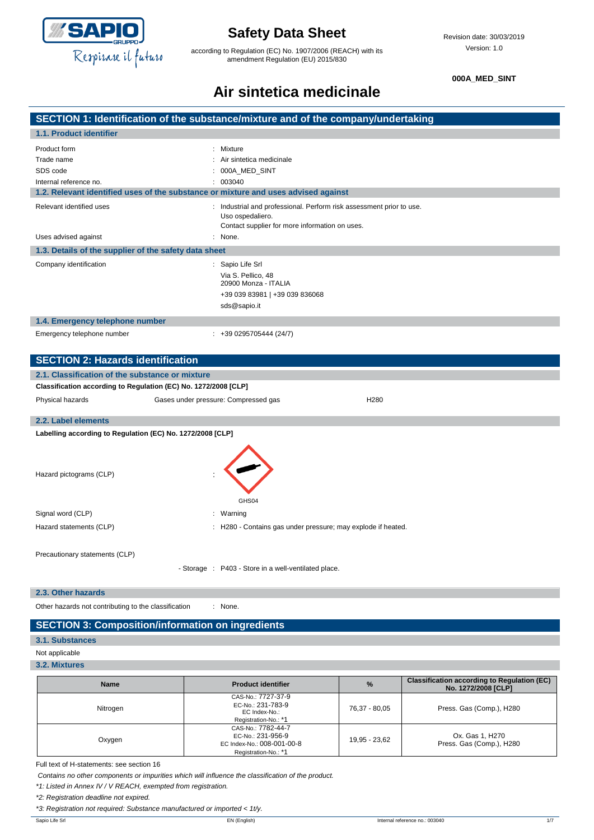

according to Regulation (EC) No. 1907/2006 (REACH) with its amendment Regulation (EU) 2015/830

**000A\_MED\_SINT**

# **Air sintetica medicinale**

|                                                                  | SECTION 1: Identification of the substance/mixture and of the company/undertaking                                                          |
|------------------------------------------------------------------|--------------------------------------------------------------------------------------------------------------------------------------------|
| 1.1. Product identifier                                          |                                                                                                                                            |
| Product form<br>Trade name<br>SDS code<br>Internal reference no. | Mixture<br>: Air sintetica medicinale<br>000A_MED_SINT<br>: 003040                                                                         |
|                                                                  | 1.2. Relevant identified uses of the substance or mixture and uses advised against                                                         |
| Relevant identified uses                                         | : Industrial and professional. Perform risk assessment prior to use.<br>Uso ospedaliero.<br>Contact supplier for more information on uses. |
| Uses advised against                                             | : None.                                                                                                                                    |
| 1.3. Details of the supplier of the safety data sheet            |                                                                                                                                            |
| Company identification                                           | : Sapio Life Srl<br>Via S. Pellico, 48<br>20900 Monza - ITALIA<br>+39 039 83981   +39 039 836068<br>sds@sapio.it                           |
| 1.4. Emergency telephone number                                  |                                                                                                                                            |
| Emergency telephone number                                       | $: +390295705444(24/7)$                                                                                                                    |
| <b>SECTION 2: Hazards identification</b>                         |                                                                                                                                            |
| 2.1. Classification of the substance or mixture                  |                                                                                                                                            |
| Classification according to Regulation (EC) No. 1272/2008 [CLP]  |                                                                                                                                            |
| Physical hazards                                                 | Gases under pressure: Compressed gas<br>H <sub>280</sub>                                                                                   |
| 2.2. Label elements                                              |                                                                                                                                            |
| Labelling according to Regulation (EC) No. 1272/2008 [CLP]       |                                                                                                                                            |
| Hazard pictograms (CLP)                                          | GHS04                                                                                                                                      |
| Signal word (CLP)                                                | : Warning                                                                                                                                  |
| Hazard statements (CLP)                                          | : H280 - Contains gas under pressure; may explode if heated.                                                                               |
|                                                                  |                                                                                                                                            |
| Precautionary statements (CLP)                                   |                                                                                                                                            |
|                                                                  | - Storage : P403 - Store in a well-ventilated place.                                                                                       |
|                                                                  |                                                                                                                                            |

**2.3. Other hazards**

Other hazards not contributing to the classification : None.

#### **SECTION 3: Composition/information on ingredients**

#### **3.1. Substances**

Not applicable

**3.2. Mixtures**

| <b>Name</b> | <b>Product identifier</b>                                                                     | $\frac{9}{6}$ | <b>Classification according to Regulation (EC)</b><br>No. 1272/2008 [CLP] |
|-------------|-----------------------------------------------------------------------------------------------|---------------|---------------------------------------------------------------------------|
| Nitrogen    | CAS-No.: 7727-37-9<br>EC-No.: 231-783-9<br>EC Index-No.:<br>Registration-No.: *1              | 76,37 - 80,05 | Press. Gas (Comp.), H280                                                  |
| Oxygen      | CAS-No.: 7782-44-7<br>EC-No.: 231-956-9<br>EC Index-No.: 008-001-00-8<br>Registration-No.: *1 | 19,95 - 23,62 | Ox. Gas 1, H270<br>Press. Gas (Comp.), H280                               |

Full text of H-statements: see section 16

*Contains no other components or impurities which will influence the classification of the product.*

*\*1: Listed in Annex IV / V REACH, exempted from registration.*

*\*2: Registration deadline not expired.*

*\*3: Registration not required: Substance manufactured or imported < 1t/y.*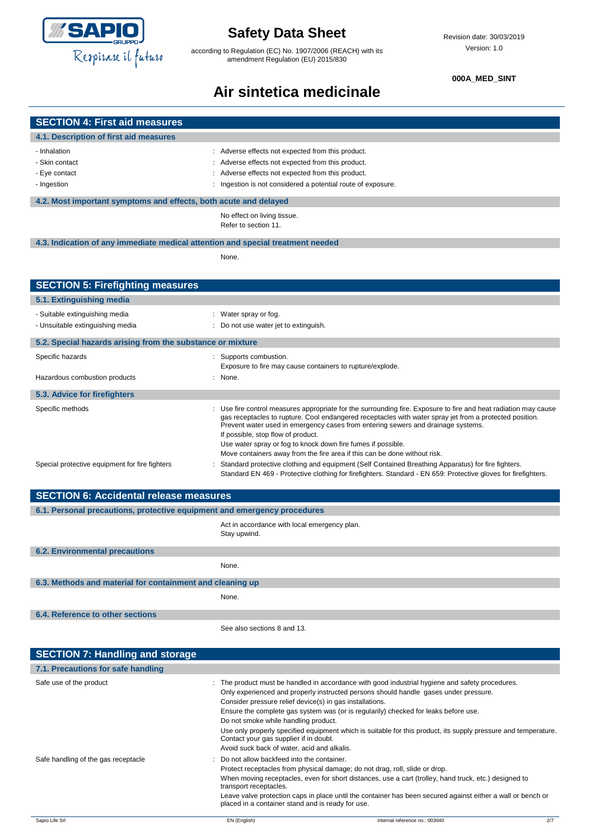

according to Regulation (EC) No. 1907/2006 (REACH) with its amendment Regulation (EU) 2015/830

#### **000A\_MED\_SINT**

# **Air sintetica medicinale**

| <b>SECTION 4: First aid measures</b>                                            |                                                                                                                                                                                             |
|---------------------------------------------------------------------------------|---------------------------------------------------------------------------------------------------------------------------------------------------------------------------------------------|
| 4.1. Description of first aid measures                                          |                                                                                                                                                                                             |
| - Inhalation                                                                    |                                                                                                                                                                                             |
| - Skin contact                                                                  | : Adverse effects not expected from this product.<br>Adverse effects not expected from this product.                                                                                        |
| - Eye contact                                                                   | Adverse effects not expected from this product.                                                                                                                                             |
| - Ingestion                                                                     | : Ingestion is not considered a potential route of exposure.                                                                                                                                |
| 4.2. Most important symptoms and effects, both acute and delayed                |                                                                                                                                                                                             |
|                                                                                 | No effect on living tissue.                                                                                                                                                                 |
|                                                                                 | Refer to section 11.                                                                                                                                                                        |
| 4.3. Indication of any immediate medical attention and special treatment needed |                                                                                                                                                                                             |
|                                                                                 | None.                                                                                                                                                                                       |
|                                                                                 |                                                                                                                                                                                             |
| <b>SECTION 5: Firefighting measures</b>                                         |                                                                                                                                                                                             |
|                                                                                 |                                                                                                                                                                                             |
| 5.1. Extinguishing media                                                        |                                                                                                                                                                                             |
| - Suitable extinguishing media<br>- Unsuitable extinguishing media              | : Water spray or fog.<br>: Do not use water jet to extinguish.                                                                                                                              |
|                                                                                 |                                                                                                                                                                                             |
| 5.2. Special hazards arising from the substance or mixture                      |                                                                                                                                                                                             |
| Specific hazards                                                                | : Supports combustion.                                                                                                                                                                      |
|                                                                                 | Exposure to fire may cause containers to rupture/explode.                                                                                                                                   |
| Hazardous combustion products                                                   | : None.                                                                                                                                                                                     |
| 5.3. Advice for firefighters                                                    |                                                                                                                                                                                             |
| Specific methods                                                                | : Use fire control measures appropriate for the surrounding fire. Exposure to fire and heat radiation may cause                                                                             |
|                                                                                 | gas receptacles to rupture. Cool endangered receptacles with water spray jet from a protected position.<br>Prevent water used in emergency cases from entering sewers and drainage systems. |
|                                                                                 | If possible, stop flow of product.                                                                                                                                                          |
|                                                                                 | Use water spray or fog to knock down fire fumes if possible.<br>Move containers away from the fire area if this can be done without risk.                                                   |
| Special protective equipment for fire fighters                                  | Standard protective clothing and equipment (Self Contained Breathing Apparatus) for fire fighters.                                                                                          |
|                                                                                 | Standard EN 469 - Protective clothing for firefighters. Standard - EN 659: Protective gloves for firefighters.                                                                              |
|                                                                                 |                                                                                                                                                                                             |
| <b>SECTION 6: Accidental release measures</b>                                   |                                                                                                                                                                                             |
| 6.1. Personal precautions, protective equipment and emergency procedures        |                                                                                                                                                                                             |
|                                                                                 | Act in accordance with local emergency plan.<br>Stay upwind.                                                                                                                                |
|                                                                                 |                                                                                                                                                                                             |
| <b>6.2. Environmental precautions</b>                                           |                                                                                                                                                                                             |
|                                                                                 | None.                                                                                                                                                                                       |
| 6.3. Methods and material for containment and cleaning up                       |                                                                                                                                                                                             |
|                                                                                 | None.                                                                                                                                                                                       |
| 6.4. Reference to other sections                                                |                                                                                                                                                                                             |
|                                                                                 | See also sections 8 and 13.                                                                                                                                                                 |
|                                                                                 |                                                                                                                                                                                             |
| <b>SECTION 7: Handling and storage</b>                                          |                                                                                                                                                                                             |
| 7.1. Precautions for safe handling                                              |                                                                                                                                                                                             |
| Safe use of the product                                                         |                                                                                                                                                                                             |
|                                                                                 | : The product must be handled in accordance with good industrial hygiene and safety procedures.<br>Only experienced and properly instructed persons should handle gases under pressure.     |
|                                                                                 | Consider pressure relief device(s) in gas installations.                                                                                                                                    |
|                                                                                 | Ensure the complete gas system was (or is regularily) checked for leaks before use.<br>Do not smoke while handling product.                                                                 |
|                                                                                 | Use only properly specified equipment which is suitable for this product, its supply pressure and temperature.                                                                              |
|                                                                                 | Contact your gas supplier if in doubt.                                                                                                                                                      |
|                                                                                 | Avoid suck back of water, acid and alkalis.<br>Do not allow backfeed into the container.                                                                                                    |
| Safe handling of the gas receptacle                                             | Protect receptacles from physical damage; do not drag, roll, slide or drop.                                                                                                                 |
|                                                                                 | When moving receptacles, even for short distances, use a cart (trolley, hand truck, etc.) designed to                                                                                       |
|                                                                                 | transport receptacles.<br>Leave valve protection caps in place until the container has been secured against either a wall or bench or                                                       |
|                                                                                 | placed in a container stand and is ready for use.                                                                                                                                           |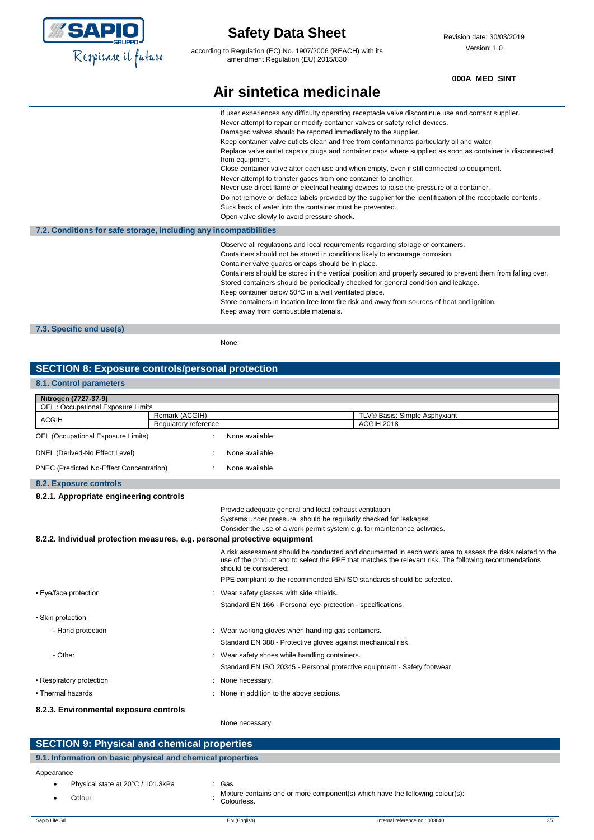

according to Regulation (EC) No. 1907/2006 (REACH) with its amendment Regulation (EU) 2015/830

#### **000A\_MED\_SINT**

|  | Air sintetica medicinale |
|--|--------------------------|
|  |                          |

|                                                                   | If user experiences any difficulty operating receptacle valve discontinue use and contact supplier.<br>Never attempt to repair or modify container valves or safety relief devices.<br>Damaged valves should be reported immediately to the supplier.<br>Keep container valve outlets clean and free from contaminants particularly oil and water.<br>Replace valve outlet caps or plugs and container caps where supplied as soon as container is disconnected<br>from equipment.<br>Close container valve after each use and when empty, even if still connected to equipment.<br>Never attempt to transfer gases from one container to another.<br>Never use direct flame or electrical heating devices to raise the pressure of a container.<br>Do not remove or deface labels provided by the supplier for the identification of the receptacle contents.<br>Suck back of water into the container must be prevented. |
|-------------------------------------------------------------------|----------------------------------------------------------------------------------------------------------------------------------------------------------------------------------------------------------------------------------------------------------------------------------------------------------------------------------------------------------------------------------------------------------------------------------------------------------------------------------------------------------------------------------------------------------------------------------------------------------------------------------------------------------------------------------------------------------------------------------------------------------------------------------------------------------------------------------------------------------------------------------------------------------------------------|
| 7.2. Conditions for safe storage, including any incompatibilities | Open valve slowly to avoid pressure shock.                                                                                                                                                                                                                                                                                                                                                                                                                                                                                                                                                                                                                                                                                                                                                                                                                                                                                 |
|                                                                   | Observe all regulations and local requirements regarding storage of containers.<br>Containers should not be stored in conditions likely to encourage corrosion.<br>Container valve guards or caps should be in place.<br>Containers should be stored in the vertical position and properly secured to prevent them from falling over.<br>Stored containers should be periodically checked for general condition and leakage.<br>Keep container below 50°C in a well ventilated place.<br>Store containers in location free from fire risk and away from sources of heat and ignition.<br>Keep away from combustible materials.                                                                                                                                                                                                                                                                                             |

**7.3. Specific end use(s)**

None.

#### **SECTION 8: Exposure controls/personal protection**

### **8.1. Control parameters**

| Nitrogen (7727-37-9)                     |                                                                           |                                                                                                                                                                                                                     |  |
|------------------------------------------|---------------------------------------------------------------------------|---------------------------------------------------------------------------------------------------------------------------------------------------------------------------------------------------------------------|--|
| <b>OEL: Occupational Exposure Limits</b> |                                                                           |                                                                                                                                                                                                                     |  |
| <b>ACGIH</b>                             | Remark (ACGIH)                                                            | TLV® Basis: Simple Asphyxiant                                                                                                                                                                                       |  |
|                                          | Regulatory reference                                                      | <b>ACGIH 2018</b>                                                                                                                                                                                                   |  |
| OEL (Occupational Exposure Limits)       | None available.                                                           |                                                                                                                                                                                                                     |  |
| DNEL (Derived-No Effect Level)           | None available.                                                           |                                                                                                                                                                                                                     |  |
| PNEC (Predicted No-Effect Concentration) | None available.                                                           |                                                                                                                                                                                                                     |  |
| 8.2. Exposure controls                   |                                                                           |                                                                                                                                                                                                                     |  |
| 8.2.1. Appropriate engineering controls  |                                                                           |                                                                                                                                                                                                                     |  |
|                                          |                                                                           | Provide adequate general and local exhaust ventilation.                                                                                                                                                             |  |
|                                          |                                                                           | Systems under pressure should be regularily checked for leakages.                                                                                                                                                   |  |
|                                          |                                                                           | Consider the use of a work permit system e.g. for maintenance activities.                                                                                                                                           |  |
|                                          | 8.2.2. Individual protection measures, e.g. personal protective equipment |                                                                                                                                                                                                                     |  |
|                                          | should be considered:                                                     | A risk assessment should be conducted and documented in each work area to assess the risks related to the<br>use of the product and to select the PPE that matches the relevant risk. The following recommendations |  |
|                                          |                                                                           | PPE compliant to the recommended EN/ISO standards should be selected.                                                                                                                                               |  |
| • Eye/face protection                    | Wear safety glasses with side shields.                                    |                                                                                                                                                                                                                     |  |
|                                          |                                                                           | Standard EN 166 - Personal eye-protection - specifications.                                                                                                                                                         |  |
| • Skin protection                        |                                                                           |                                                                                                                                                                                                                     |  |
| - Hand protection                        | Wear working gloves when handling gas containers.                         |                                                                                                                                                                                                                     |  |
|                                          |                                                                           | Standard EN 388 - Protective gloves against mechanical risk.                                                                                                                                                        |  |
| - Other                                  | : Wear safety shoes while handling containers.                            |                                                                                                                                                                                                                     |  |
|                                          |                                                                           | Standard EN ISO 20345 - Personal protective equipment - Safety footwear.                                                                                                                                            |  |
| • Respiratory protection                 | None necessary.                                                           |                                                                                                                                                                                                                     |  |
| • Thermal hazards                        | : None in addition to the above sections.                                 |                                                                                                                                                                                                                     |  |
| 8.2.3. Environmental exposure controls   |                                                                           |                                                                                                                                                                                                                     |  |

None necessary.

| <b>SECTION 9: Physical and chemical properties</b>         |                                                                               |  |
|------------------------------------------------------------|-------------------------------------------------------------------------------|--|
| 9.1. Information on basic physical and chemical properties |                                                                               |  |
| Appearance                                                 |                                                                               |  |
| Physical state at 20°C / 101.3kPa                          | Gas                                                                           |  |
| $C_{\Omega}$                                               | Mixture contains one or more component(s) which have the following colour(s): |  |

- Colour :
	- Colourless.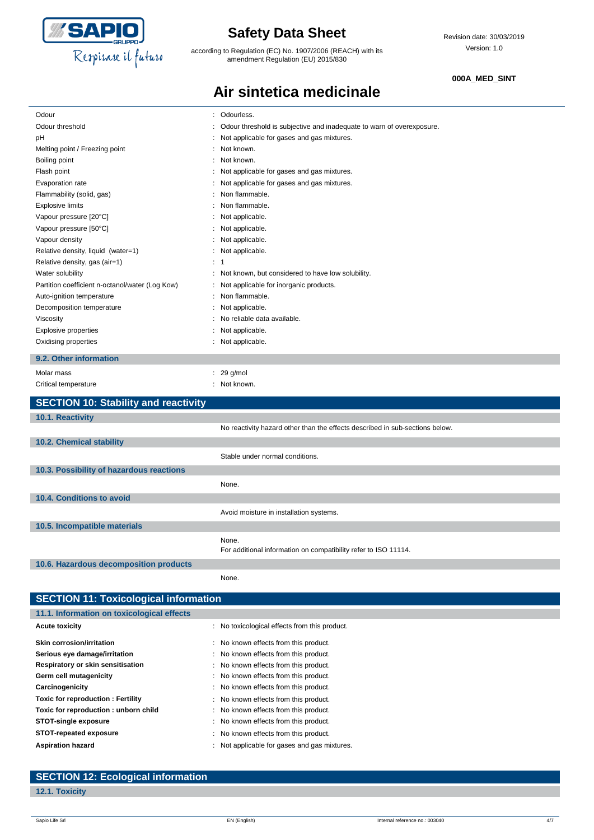

according to Regulation (EC) No. 1907/2006 (REACH) with its amendment Regulation (EU) 2015/830

**Air sintetica medicinale**

#### **000A\_MED\_SINT**

| Odour                                           | Odourless.<br>÷                                                              |
|-------------------------------------------------|------------------------------------------------------------------------------|
| Odour threshold                                 | Odour threshold is subjective and inadequate to warn of overexposure.        |
| pH                                              | Not applicable for gases and gas mixtures.                                   |
| Melting point / Freezing point                  | Not known.                                                                   |
| Boiling point                                   | Not known.                                                                   |
| Flash point                                     | Not applicable for gases and gas mixtures.                                   |
| Evaporation rate                                | Not applicable for gases and gas mixtures.                                   |
| Flammability (solid, gas)                       | Non flammable.                                                               |
| <b>Explosive limits</b>                         | Non flammable.                                                               |
| Vapour pressure [20°C]                          | Not applicable.                                                              |
| Vapour pressure [50°C]                          | Not applicable.                                                              |
| Vapour density                                  | Not applicable.                                                              |
| Relative density, liquid (water=1)              | Not applicable.                                                              |
| Relative density, gas (air=1)                   | : 1                                                                          |
| Water solubility                                | Not known, but considered to have low solubility.                            |
| Partition coefficient n-octanol/water (Log Kow) | Not applicable for inorganic products.                                       |
| Auto-ignition temperature                       | Non flammable.                                                               |
| Decomposition temperature                       | Not applicable.                                                              |
| Viscosity                                       | No reliable data available.                                                  |
| <b>Explosive properties</b>                     | Not applicable.                                                              |
| Oxidising properties                            | Not applicable.                                                              |
| 9.2. Other information                          |                                                                              |
| Molar mass                                      | 29 g/mol                                                                     |
| Critical temperature                            | Not known.                                                                   |
|                                                 |                                                                              |
| <b>SECTION 10: Stability and reactivity</b>     |                                                                              |
| 10.1. Reactivity                                |                                                                              |
|                                                 | No reactivity hazard other than the effects described in sub-sections below. |
| 10.2. Chemical stability                        |                                                                              |
|                                                 | Stable under normal conditions.                                              |
| 10.3. Possibility of hazardous reactions        |                                                                              |
|                                                 | None.                                                                        |
| 10.4. Conditions to avoid                       |                                                                              |
|                                                 | Avoid moisture in installation systems.                                      |
| 10.5. Incompatible materials                    |                                                                              |
|                                                 | None.                                                                        |
|                                                 | For additional information on compatibility refer to ISO 11114.              |
| 10.6. Hazardous decomposition products          |                                                                              |
|                                                 | None.                                                                        |
|                                                 |                                                                              |

| <b>SECTION 11: Toxicological information</b> |                                               |  |
|----------------------------------------------|-----------------------------------------------|--|
| 11.1. Information on toxicological effects   |                                               |  |
| <b>Acute toxicity</b>                        | : No toxicological effects from this product. |  |
| Skin corrosion/irritation                    | : No known effects from this product.         |  |
| Serious eye damage/irritation                | : No known effects from this product.         |  |
| Respiratory or skin sensitisation            | : No known effects from this product.         |  |
| Germ cell mutagenicity                       | : No known effects from this product.         |  |
| Carcinogenicity                              | : No known effects from this product.         |  |
| Toxic for reproduction: Fertility            | : No known effects from this product.         |  |
| Toxic for reproduction : unborn child        | : No known effects from this product.         |  |
| <b>STOT-single exposure</b>                  | : No known effects from this product.         |  |
| STOT-repeated exposure                       | : No known effects from this product.         |  |
| <b>Aspiration hazard</b>                     | : Not applicable for gases and gas mixtures.  |  |
|                                              |                                               |  |

#### **SECTION 12: Ecological information**

#### **12.1. Toxicity**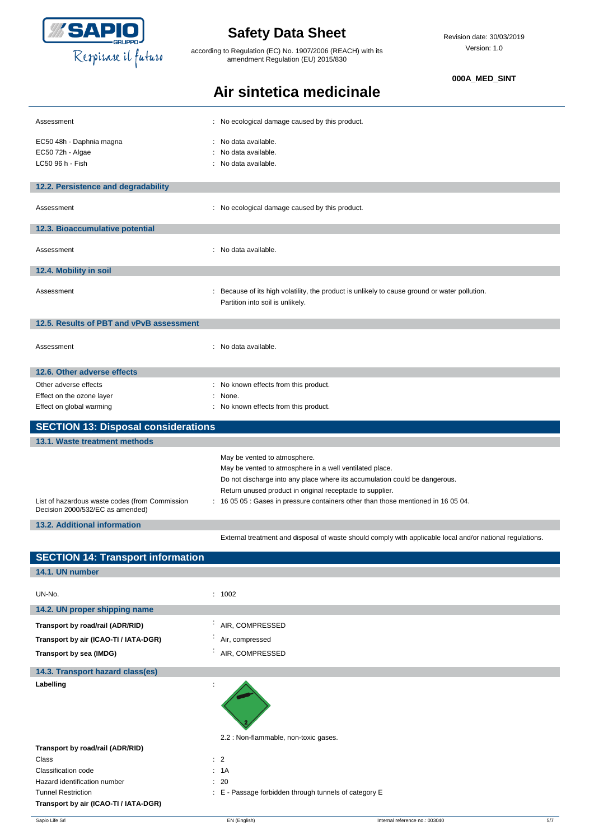

according to Regulation (EC) No. 1907/2006 (REACH) with its amendment Regulation (EU) 2015/830

**Air sintetica medicinale**

#### **000A\_MED\_SINT**

| Assessment                                                                         | : No ecological damage caused by this product.                                                                                                       |                                                                                                           |
|------------------------------------------------------------------------------------|------------------------------------------------------------------------------------------------------------------------------------------------------|-----------------------------------------------------------------------------------------------------------|
| EC50 48h - Daphnia magna                                                           | : No data available.                                                                                                                                 |                                                                                                           |
| EC50 72h - Algae                                                                   | No data available.                                                                                                                                   |                                                                                                           |
| LC50 96 h - Fish                                                                   | : No data available.                                                                                                                                 |                                                                                                           |
|                                                                                    |                                                                                                                                                      |                                                                                                           |
| 12.2. Persistence and degradability                                                |                                                                                                                                                      |                                                                                                           |
| Assessment                                                                         | : No ecological damage caused by this product.                                                                                                       |                                                                                                           |
| 12.3. Bioaccumulative potential                                                    |                                                                                                                                                      |                                                                                                           |
| Assessment                                                                         | : No data available.                                                                                                                                 |                                                                                                           |
| 12.4. Mobility in soil                                                             |                                                                                                                                                      |                                                                                                           |
| Assessment                                                                         | Partition into soil is unlikely.                                                                                                                     | : Because of its high volatility, the product is unlikely to cause ground or water pollution.             |
| 12.5. Results of PBT and vPvB assessment                                           |                                                                                                                                                      |                                                                                                           |
| Assessment                                                                         | : No data available.                                                                                                                                 |                                                                                                           |
| 12.6. Other adverse effects                                                        |                                                                                                                                                      |                                                                                                           |
| Other adverse effects                                                              | : No known effects from this product.                                                                                                                |                                                                                                           |
| Effect on the ozone layer                                                          | : None.                                                                                                                                              |                                                                                                           |
| Effect on global warming                                                           | : No known effects from this product.                                                                                                                |                                                                                                           |
| <b>SECTION 13: Disposal considerations</b>                                         |                                                                                                                                                      |                                                                                                           |
| 13.1. Waste treatment methods                                                      |                                                                                                                                                      |                                                                                                           |
|                                                                                    | May be vented to atmosphere.<br>May be vented to atmosphere in a well ventilated place.<br>Return unused product in original receptacle to supplier. | Do not discharge into any place where its accumulation could be dangerous.                                |
| List of hazardous waste codes (from Commission<br>Decision 2000/532/EC as amended) |                                                                                                                                                      | : 16 05 05 : Gases in pressure containers other than those mentioned in 16 05 04.                         |
| 13.2. Additional information                                                       |                                                                                                                                                      |                                                                                                           |
|                                                                                    |                                                                                                                                                      | External treatment and disposal of waste should comply with applicable local and/or national regulations. |
| <b>SECTION 14: Transport information</b>                                           |                                                                                                                                                      |                                                                                                           |
| 14.1. UN number                                                                    |                                                                                                                                                      |                                                                                                           |
| UN-No.                                                                             | : 1002                                                                                                                                               |                                                                                                           |
| 14.2. UN proper shipping name                                                      |                                                                                                                                                      |                                                                                                           |
| Transport by road/rail (ADR/RID)                                                   | : AIR, COMPRESSED                                                                                                                                    |                                                                                                           |
| Transport by air (ICAO-TI / IATA-DGR)                                              | Air, compressed                                                                                                                                      |                                                                                                           |
| Transport by sea (IMDG)                                                            | : AIR, COMPRESSED                                                                                                                                    |                                                                                                           |
| 14.3. Transport hazard class(es)                                                   |                                                                                                                                                      |                                                                                                           |
| Labelling                                                                          |                                                                                                                                                      |                                                                                                           |
|                                                                                    |                                                                                                                                                      |                                                                                                           |
| Transport by road/rail (ADR/RID)                                                   | 2.2 : Non-flammable, non-toxic gases.                                                                                                                |                                                                                                           |
| Class                                                                              | : 2                                                                                                                                                  |                                                                                                           |
| Classification code                                                                | : 1A                                                                                                                                                 |                                                                                                           |
| Hazard identification number                                                       | : 20                                                                                                                                                 |                                                                                                           |
| <b>Tunnel Restriction</b><br>Transport by air (ICAO-TI / IATA-DGR)                 | : E - Passage forbidden through tunnels of category E                                                                                                |                                                                                                           |
|                                                                                    |                                                                                                                                                      | Internal reference no.: 003040<br>5/7                                                                     |
| Sapio Life Srl                                                                     | EN (English)                                                                                                                                         |                                                                                                           |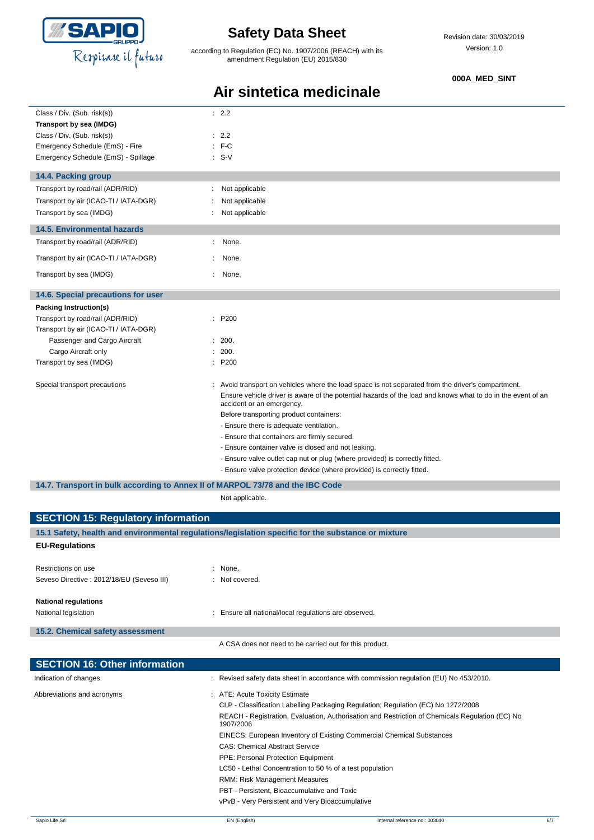

according to Regulation (EC) No. 1907/2006 (REACH) with its amendment Regulation (EU) 2015/830

#### **000A\_MED\_SINT**

### **Air sintetica medicinale**

| Class / Div. (Sub. risk(s))                                                    | : 2.2                                                                                                                                    |
|--------------------------------------------------------------------------------|------------------------------------------------------------------------------------------------------------------------------------------|
| Transport by sea (IMDG)                                                        |                                                                                                                                          |
| Class / Div. (Sub. risk(s))                                                    | : 2.2                                                                                                                                    |
| Emergency Schedule (EmS) - Fire                                                | $F-C$                                                                                                                                    |
| Emergency Schedule (EmS) - Spillage                                            | $: S-V$                                                                                                                                  |
| 14.4. Packing group                                                            |                                                                                                                                          |
| Transport by road/rail (ADR/RID)                                               | Not applicable                                                                                                                           |
| Transport by air (ICAO-TI / IATA-DGR)                                          | Not applicable                                                                                                                           |
| Transport by sea (IMDG)                                                        | Not applicable                                                                                                                           |
|                                                                                |                                                                                                                                          |
| <b>14.5. Environmental hazards</b>                                             |                                                                                                                                          |
| Transport by road/rail (ADR/RID)                                               | None.<br>÷                                                                                                                               |
| Transport by air (ICAO-TI / IATA-DGR)                                          | None.<br>٠                                                                                                                               |
| Transport by sea (IMDG)                                                        | ÷<br>None.                                                                                                                               |
| 14.6. Special precautions for user                                             |                                                                                                                                          |
| Packing Instruction(s)                                                         |                                                                                                                                          |
| Transport by road/rail (ADR/RID)                                               | : P200                                                                                                                                   |
| Transport by air (ICAO-TI / IATA-DGR)                                          |                                                                                                                                          |
| Passenger and Cargo Aircraft                                                   | : 200.                                                                                                                                   |
| Cargo Aircraft only                                                            | 200.                                                                                                                                     |
| Transport by sea (IMDG)                                                        | : P200                                                                                                                                   |
| Special transport precautions                                                  | : Avoid transport on vehicles where the load space is not separated from the driver's compartment.                                       |
|                                                                                | Ensure vehicle driver is aware of the potential hazards of the load and knows what to do in the event of an<br>accident or an emergency. |
|                                                                                | Before transporting product containers:                                                                                                  |
|                                                                                | - Ensure there is adequate ventilation.                                                                                                  |
|                                                                                | - Ensure that containers are firmly secured.                                                                                             |
|                                                                                | - Ensure container valve is closed and not leaking.                                                                                      |
|                                                                                | - Ensure valve outlet cap nut or plug (where provided) is correctly fitted.                                                              |
|                                                                                | - Ensure valve protection device (where provided) is correctly fitted.                                                                   |
| 14.7. Transport in bulk according to Annex II of MARPOL 73/78 and the IBC Code |                                                                                                                                          |
|                                                                                | Not applicable.                                                                                                                          |
| <b>SECTION 15: Regulatory information</b>                                      |                                                                                                                                          |

| 15.1 Safety, health and environmental regulations/legislation specific for the substance or mixture |                                                                                                              |  |
|-----------------------------------------------------------------------------------------------------|--------------------------------------------------------------------------------------------------------------|--|
| <b>EU-Regulations</b>                                                                               |                                                                                                              |  |
| Restrictions on use                                                                                 | $:$ None.                                                                                                    |  |
| Seveso Directive : 2012/18/EU (Seveso III)                                                          | Not covered.                                                                                                 |  |
| <b>National regulations</b>                                                                         |                                                                                                              |  |
| National legislation                                                                                | Ensure all national/local regulations are observed.                                                          |  |
| 15.2. Chemical safety assessment                                                                    |                                                                                                              |  |
|                                                                                                     | A CSA does not need to be carried out for this product.                                                      |  |
| <b>SECTION 16: Other information</b>                                                                |                                                                                                              |  |
| Indication of changes                                                                               | Revised safety data sheet in accordance with commission regulation (EU) No 453/2010.                         |  |
| Abbreviations and acronyms                                                                          | ATE: Acute Toxicity Estimate                                                                                 |  |
|                                                                                                     | CLP - Classification Labelling Packaging Regulation; Regulation (EC) No 1272/2008                            |  |
|                                                                                                     | REACH - Registration, Evaluation, Authorisation and Restriction of Chemicals Regulation (EC) No<br>1907/2006 |  |
|                                                                                                     | EINECS: European Inventory of Existing Commercial Chemical Substances                                        |  |
|                                                                                                     | <b>CAS: Chemical Abstract Service</b>                                                                        |  |
|                                                                                                     | PPE: Personal Protection Equipment                                                                           |  |
|                                                                                                     | LC50 - Lethal Concentration to 50 % of a test population                                                     |  |
|                                                                                                     | RMM: Risk Management Measures                                                                                |  |
|                                                                                                     | PBT - Persistent, Bioaccumulative and Toxic                                                                  |  |
|                                                                                                     | vPvB - Very Persistent and Very Bioaccumulative                                                              |  |